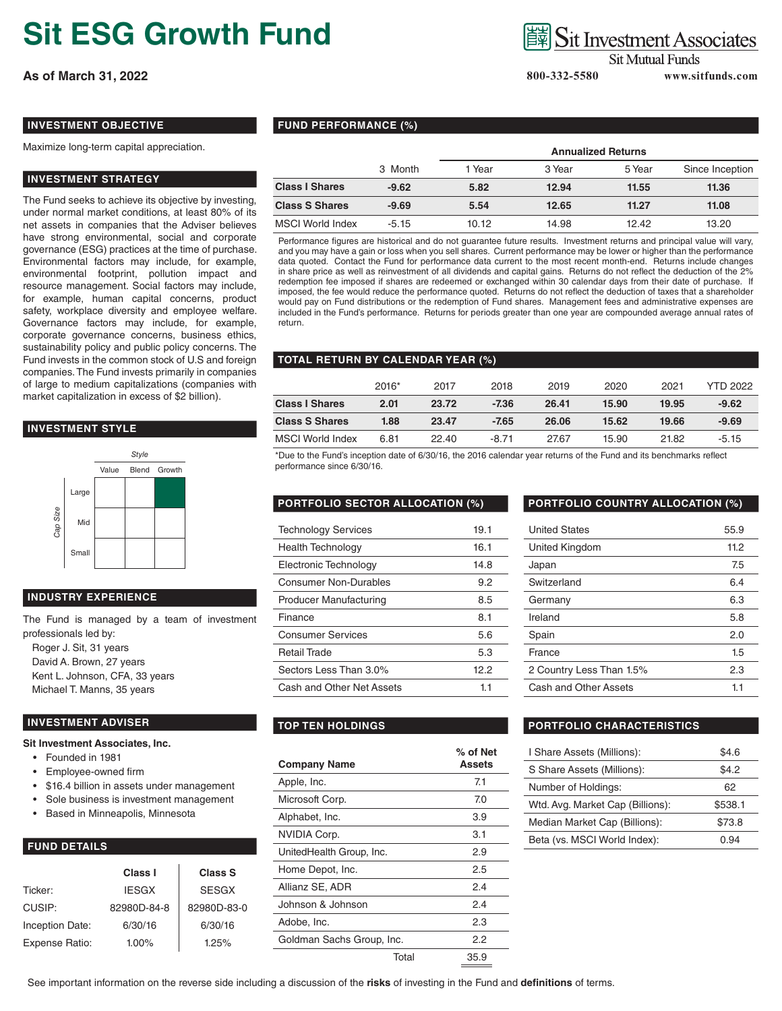# **Sit ESG Growth Fund**

**As of March 31, 2022 800-332-5580 www.sitfunds.com**

## **Sit Investment Associates**

**Sit Mutual Funds** 

#### **INVESTMENT OBJECTIVE**

Maximize long-term capital appreciation.

#### **INVESTMENT STRATEGY**

The Fund seeks to achieve its objective by investing, under normal market conditions, at least 80% of its net assets in companies that the Adviser believes have strong environmental, social and corporate governance (ESG) practices at the time of purchase. Environmental factors may include, for example, environmental footprint, pollution impact and resource management. Social factors may include, for example, human capital concerns, product safety, workplace diversity and employee welfare. Governance factors may include, for example, corporate governance concerns, business ethics, sustainability policy and public policy concerns. The Fund invests in the common stock of U.S and foreign companies. The Fund invests primarily in companies of large to medium capitalizations (companies with market capitalization in excess of \$2 billion).

#### **INVESTMENT STYLE**



#### **INDUSTRY EXPERIENCE**

The Fund is managed by a team of investment professionals led by: Roger J. Sit, 31 years David A. Brown, 27 years Kent L. Johnson, CFA, 33 years Michael T. Manns, 35 years

#### **INVESTMENT ADVISER**

#### **Sit Investment Associates, Inc.**

- Founded in 1981
- Employee-owned firm
- \$16.4 billion in assets under management
- Sole business is investment management
- Based in Minneapolis, Minnesota

### **FUND DETAILS**

|                        | Class I      | <b>Class S</b> |
|------------------------|--------------|----------------|
| Ticker:                | <b>IESGX</b> | <b>SESGX</b>   |
| CUSIP:                 | 82980D-84-8  | 82980D-83-0    |
| <b>Inception Date:</b> | 6/30/16      | 6/30/16        |
| Expense Ratio:         | $1.00\%$     | 1.25%          |

### **FUND PERFORMANCE (%)**

|                       |         | <b>Annualized Returns</b> |        |        |                 |
|-----------------------|---------|---------------------------|--------|--------|-----------------|
|                       | 3 Month | 1 Year                    | 3 Year | 5 Year | Since Inception |
| <b>Class I Shares</b> | $-9.62$ | 5.82                      | 12.94  | 11.55  | 11.36           |
| <b>Class S Shares</b> | $-9.69$ | 5.54                      | 12.65  | 11.27  | 11.08           |
| MSCI World Index      | $-5.15$ | 10.12                     | 14.98  | 12.42  | 13.20           |

Performance figures are historical and do not guarantee future results. Investment returns and principal value will vary, and you may have a gain or loss when you sell shares. Current performance may be lower or higher than the performance data quoted. Contact the Fund for performance data current to the most recent month-end. Returns include changes in share price as well as reinvestment of all dividends and capital gains. Returns do not reflect the deduction of the 2% redemption fee imposed if shares are redeemed or exchanged within 30 calendar days from their date of purchase. If imposed, the fee would reduce the performance quoted. Returns do not reflect the deduction of taxes that a shareholder would pay on Fund distributions or the redemption of Fund shares. Management fees and administrative expenses are included in the Fund's performance. Returns for periods greater than one year are compounded average annual rates of return.

#### **TOTAL RETURN BY CALENDAR YEAR (%)**

|                       | $2016*$ | 2017  | 2018    | 2019  | 2020  | 2021  | <b>YTD 2022</b> |
|-----------------------|---------|-------|---------|-------|-------|-------|-----------------|
| <b>Class I Shares</b> | 2.01    | 23.72 | $-7.36$ | 26.41 | 15.90 | 19.95 | $-9.62$         |
| <b>Class S Shares</b> | 1.88    | 23.47 | $-7.65$ | 26.06 | 15.62 | 19.66 | $-9.69$         |
| MSCI World Index      | 6.81    | 22.40 | $-8.71$ | 27.67 | 15.90 | 21.82 | $-5.15$         |

\*Due to the Fund's inception date of 6/30/16, the 2016 calendar year returns of the Fund and its benchmarks reflect performance since 6/30/16.

| <b>Technology Services</b>    | 19.1 |
|-------------------------------|------|
| <b>Health Technology</b>      | 16.1 |
| Electronic Technology         | 14.8 |
| <b>Consumer Non-Durables</b>  | 9.2  |
| <b>Producer Manufacturing</b> | 8.5  |
| Finance                       | 8.1  |
| <b>Consumer Services</b>      | 5.6  |
| Retail Trade                  | 5.3  |
| Sectors Less Than 3.0%        | 12.2 |
| Cash and Other Net Assets     | 11   |

| <b>Company Name</b>       |       | $%$ of Net<br>Assets |
|---------------------------|-------|----------------------|
| Apple, Inc.               |       | 7.1                  |
| Microsoft Corp.           |       | 7.0                  |
| Alphabet, Inc.            |       | 3.9                  |
| <b>NVIDIA Corp.</b>       |       | 3.1                  |
| UnitedHealth Group, Inc.  |       | 2.9                  |
| Home Depot, Inc.          |       | 2.5                  |
| Allianz SE, ADR           |       | 2.4                  |
| Johnson & Johnson         |       | 2.4                  |
| Adobe, Inc.               |       | 2.3                  |
| Goldman Sachs Group, Inc. |       | 2.2                  |
|                           | Total | 35.9                 |

#### **PORTFOLIO SECTOR ALLOCATION (%) PORTFOLIO COUNTRY ALLOCATION (%)**

| 55.9 |
|------|
| 11.2 |
| 7.5  |
| 6.4  |
| 6.3  |
| 5.8  |
| 2.0  |
| 1.5  |
| 2.3  |
| 1.1  |
|      |

#### **TOP TEN HOLDINGS PORTFOLIO CHARACTERISTICS**

| I Share Assets (Millions):       | \$4.6   |
|----------------------------------|---------|
| S Share Assets (Millions):       | \$4.2   |
| Number of Holdings:              | 62      |
| Wtd. Avg. Market Cap (Billions): | \$538.1 |
| Median Market Cap (Billions):    | \$73.8  |
| Beta (vs. MSCI World Index):     | በ 94    |

See important information on the reverse side including a discussion of the **risks** of investing in the Fund and **definitions** of terms.